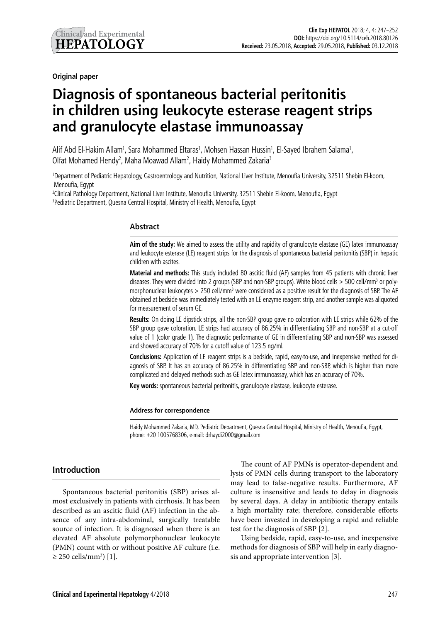**Original paper**

# **Diagnosis of spontaneous bacterial peritonitis in children using leukocyte esterase reagent strips and granulocyte elastase immunoassay**

Alif Abd El-Hakim Allam<sup>1</sup>, Sara Mohammed Eltaras<sup>1</sup>, Mohsen Hassan Hussin<sup>1</sup>, El-Sayed Ibrahem Salama<sup>1</sup>, Olfat Mohamed Hendy<sup>2</sup>, Maha Moawad Allam<sup>2</sup>, Haidy Mohammed Zakaria<sup>3</sup>

1 Department of Pediatric Hepatology, Gastroentrology and Nutrition, National Liver Institute, Menoufia University, 32511 Shebin El-koom, Menoufia, Egypt

2 Clinical Pathology Department, National Liver Institute, Menoufia University, 32511 Shebin El-koom, Menoufia, Egypt 3 Pediatric Department, Quesna Central Hospital, Ministry of Health, Menoufia, Egypt

### **Abstract**

**Aim of the study:** We aimed to assess the utility and rapidity of granulocyte elastase (GE) latex immunoassay and leukocyte esterase (LE) reagent strips for the diagnosis of spontaneous bacterial peritonitis (SBP) in hepatic children with ascites.

**Material and methods:** This study included 80 ascitic fluid (AF) samples from 45 patients with chronic liver diseases. They were divided into 2 groups (SBP and non-SBP groups). White blood cells > 500 cell/mm<sup>3</sup> or polymorphonuclear leukocytes > 250 cell/mm<sup>3</sup> were considered as a positive result for the diagnosis of SBP. The AF obtained at bedside was immediately tested with an LE enzyme reagent strip, and another sample was aliquoted for measurement of serum GE.

**Results:** On doing LE dipstick strips, all the non-SBP group gave no coloration with LE strips while 62% of the SBP group gave coloration. LE strips had accuracy of 86.25% in differentiating SBP and non-SBP at a cut-off value of 1 (color grade 1). The diagnostic performance of GE in differentiating SBP and non-SBP was assessed and showed accuracy of 70% for a cutoff value of 123.5 ng/ml.

**Conclusions:** Application of LE reagent strips is a bedside, rapid, easy-to-use, and inexpensive method for diagnosis of SBP. It has an accuracy of 86.25% in differentiating SBP and non-SBP, which is higher than more complicated and delayed methods such as GE latex immunoassay, which has an accuracy of 70%.

**Key words:** spontaneous bacterial peritonitis, granulocyte elastase, leukocyte esterase.

#### **Address for correspondence**

Haidy Mohammed Zakaria, MD, Pediatric Department, Quesna Central Hospital, Ministry of Health, Menoufia, Egypt, phone: +20 1005768306, e-mail: drhaydi2000@gmail.com

### **Introduction**

Spontaneous bacterial peritonitis (SBP) arises almost exclusively in patients with cirrhosis. It has been described as an ascitic fluid (AF) infection in the absence of any intra-abdominal, surgically treatable source of infection. It is diagnosed when there is an elevated AF absolute polymorphonuclear leukocyte (PMN) count with or without positive AF culture (i.e. ≥ 250 cells/mm3 ) [1]*.*

The count of AF PMNs is operator-dependent and lysis of PMN cells during transport to the laboratory may lead to false-negative results. Furthermore, AF culture is insensitive and leads to delay in diagnosis by several days. A delay in antibiotic therapy entails a high mortality rate; therefore, considerable efforts have been invested in developing a rapid and reliable test for the diagnosis of SBP [2]*.*

Using bedside, rapid, easy-to-use, and inexpensive methods for diagnosis of SBP will help in early diagnosis and appropriate intervention [3]*.*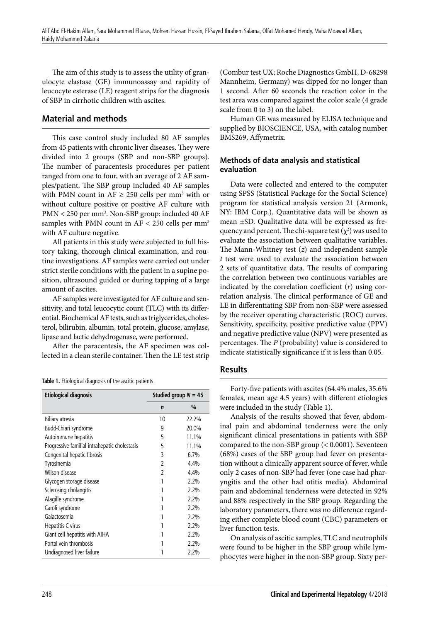The aim of this study is to assess the utility of granulocyte elastase (GE) immunoassay and rapidity of leucocyte esterase (LE) reagent strips for the diagnosis of SBP in cirrhotic children with ascites.

## **Material and methods**

This case control study included 80 AF samples from 45 patients with chronic liver diseases. They were divided into 2 groups (SBP and non-SBP groups). The number of paracentesis procedures per patient ranged from one to four, with an average of 2 AF samples/patient. The SBP group included 40 AF samples with PMN count in  $AF \ge 250$  cells per mm<sup>3</sup> with or without culture positive or positive AF culture with PMN < 250 per mm<sup>3</sup>. Non-SBP group: included 40 AF samples with PMN count in  $AF < 250$  cells per mm<sup>3</sup> with AF culture negative.

All patients in this study were subjected to full history taking, thorough clinical examination, and routine investigations. AF samples were carried out under strict sterile conditions with the patient in a supine position, ultrasound guided or during tapping of a large amount of ascites.

AF samples were investigated for AF culture and sensitivity, and total leucocytic count (TLC) with its differential. Biochemical AF tests, such as triglycerides, cholesterol, bilirubin, albumin, total protein, glucose, amylase, lipase and lactic dehydrogenase, were performed.

After the paracentesis, the AF specimen was collected in a clean sterile container. Then the LE test strip

|  | Table 1. Etiological diagnosis of the ascitic patients |  |  |  |
|--|--------------------------------------------------------|--|--|--|
|  |                                                        |  |  |  |

| <b>Etiological diagnosis</b>                  | Studied group $N = 45$ |       |  |
|-----------------------------------------------|------------------------|-------|--|
|                                               | $\mathbf n$            | $\%$  |  |
| Biliary atresia                               | 10                     | 22.2% |  |
| Budd-Chiari syndrome                          | q                      | 20.0% |  |
| Autoimmune hepatitis                          | 5                      | 11.1% |  |
| Progressive familial intrahepatic cholestasis | 5                      | 11.1% |  |
| Congenital hepatic fibrosis                   | 3                      | 6.7%  |  |
| Tyrosinemia                                   | 2                      | 4.4%  |  |
| Wilson disease                                | 2                      | 4.4%  |  |
| Glycogen storage disease                      |                        | 2.2%  |  |
| Sclerosing cholangitis                        |                        | 2.2%  |  |
| Alagille syndrome                             |                        | 2.2%  |  |
| Caroli syndrome                               |                        | 2.2%  |  |
| Galactosemia                                  |                        | 2.2%  |  |
| Hepatitis C virus                             |                        | 2.2%  |  |
| Giant cell hepatitis with AIHA                |                        | 2.2%  |  |
| Portal vein thrombosis                        |                        | 2.2%  |  |
| Undiagnosed liver failure                     |                        | 2.2%  |  |

(Combur test UX; Roche Diagnostics GmbH, D-68298 Mannheim, Germany) was dipped for no longer than 1 second. After 60 seconds the reaction color in the test area was compared against the color scale (4 grade scale from 0 to 3) on the label.

Human GE was measured by ELISA technique and supplied by BIOSCIENCE, USA, with catalog number BMS269, Affymetrix.

## **Methods of data analysis and statistical evaluation**

Data were collected and entered to the computer using SPSS (Statistical Package for the Social Science) program for statistical analysis version 21 (Armonk, NY: IBM Corp.). Quantitative data will be shown as mean ±SD. Qualitative data will be expressed as frequency and percent. The chi-square test  $(\chi^2)$  was used to evaluate the association between qualitative variables. The Mann-Whitney test (*z*) and independent sample *t* test were used to evaluate the association between 2 sets of quantitative data. The results of comparing the correlation between two continuous variables are indicated by the correlation coefficient (*r*) using correlation analysis. The clinical performance of GE and LE in differentiating SBP from non-SBP were assessed by the receiver operating characteristic (ROC) curves. Sensitivity, specificity, positive predictive value (PPV) and negative predictive value (NPV) were presented as percentages. The *P* (probability) value is considered to indicate statistically significance if it is less than 0.05.

## **Results**

Forty-five patients with ascites (64.4% males, 35.6% females, mean age 4.5 years) with different etiologies were included in the study (Table 1).

Analysis of the results showed that fever, abdominal pain and abdominal tenderness were the only significant clinical presentations in patients with SBP compared to the non-SBP group (< 0.0001). Seventeen (68%) cases of the SBP group had fever on presentation without a clinically apparent source of fever, while only 2 cases of non-SBP had fever (one case had pharyngitis and the other had otitis media). Abdominal pain and abdominal tenderness were detected in 92% and 88% respectively in the SBP group. Regarding the laboratory parameters, there was no difference regarding either complete blood count (CBC) parameters or liver function tests.

On analysis of ascitic samples, TLC and neutrophils were found to be higher in the SBP group while lymphocytes were higher in the non-SBP group. Sixty per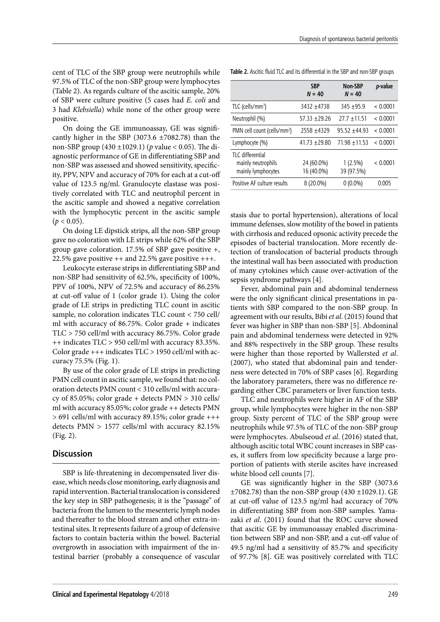cent of TLC of the SBP group were neutrophils while 97.5% of TLC of the non-SBP group were lymphocytes (Table 2). As regards culture of the ascitic sample, 20% of SBP were culture positive (5 cases had *E. coli* and 3 had *Klebsiella*) while none of the other group were positive.

On doing the GE immunoassay, GE was significantly higher in the SBP (3073.6  $\pm$ 7082.78) than the non-SBP group (430 ±1029.1) (*p* value < 0.05). The diagnostic performance of GE in differentiating SBP and non-SBP was assessed and showed sensitivity, specificity, PPV, NPV and accuracy of 70% for each at a cut-off value of 123.5 ng/ml. Granulocyte elastase was positively correlated with TLC and neutrophil percent in the ascitic sample and showed a negative correlation with the lymphocytic percent in the ascitic sample  $(p < 0.05)$ .

On doing LE dipstick strips, all the non-SBP group gave no coloration with LE strips while 62% of the SBP group gave coloration. 17.5% of SBP gave positive +, 22.5% gave positive  $++$  and 22.5% gave positive  $++$ .

Leukocyte esterase strips in differentiating SBP and non-SBP had sensitivity of 62.5%, specificity of 100%, PPV of 100%, NPV of 72.5% and accuracy of 86.25% at cut-off value of 1 (color grade 1). Using the color grade of LE strips in predicting TLC count in ascitic sample, no coloration indicates TLC count < 750 cell/ ml with accuracy of 86.75%. Color grade + indicates TLC > 750 cell/ml with accuracy 86.75%. Color grade ++ indicates TLC > 950 cell/ml with accuracy 83.35%. Color grade  $+++$  indicates  $TLC > 1950$  cell/ml with accuracy 75.5% (Fig. 1).

By use of the color grade of LE strips in predicting PMN cell count in ascitic sample, we found that: no coloration detects PMN count < 310 cells/ml with accuracy of 85.05%; color grade + detects PMN > 310 cells/ ml with accuracy 85.05%; color grade ++ detects PMN > 691 cells/ml with accuracy 89.15%; color grade +++ detects PMN > 1577 cells/ml with accuracy 82.15% (Fig. 2).

## **Discussion**

SBP is life-threatening in decompensated liver disease, which needs close monitoring, early diagnosis and rapid intervention. Bacterial translocation is considered the key step in SBP pathogenesis; it is the "passage" of bacteria from the lumen to the mesenteric lymph nodes and thereafter to the blood stream and other extra-intestinal sites. It represents failure of a group of defensive factors to contain bacteria within the bowel. Bacterial overgrowth in association with impairment of the intestinal barrier (probably a consequence of vascular

**Table 2.** Ascitic fluid TLC and its differential in the SBP and non-SBP groups

|                                                               | <b>SBP</b><br>$N = 40$   | Non-SBP<br>$N = 40$      | <i>p</i> -value |
|---------------------------------------------------------------|--------------------------|--------------------------|-----------------|
| $TLC$ (cells/mm <sup>3</sup> )                                | 3432 +4738               | $345 + 95.9$             | < 0.0001        |
| Neutrophil (%)                                                | $57.33 + 29.26$          | $27.7 + 11.51$           | < 0.0001        |
| PMN cell count (cells/mm <sup>3</sup> )                       | 2558 ±4329               | $95.52 + 44.93$          | < 0.0001        |
| Lymphocyte (%)                                                | $41.73 \pm 29.80$        | $71.98 \pm 11.53$        | < 0.0001        |
| TI C differential<br>mainly neutrophils<br>mainly lymphocytes | 24 (60.0%)<br>16 (40.0%) | $1(2.5\%)$<br>39 (97.5%) | < 0.0001        |
| Positive AF culture results                                   | 8 (20.0%)                | $0(0.0\%)$               | 0.005           |

stasis due to portal hypertension), alterations of local immune defenses, slow motility of the bowel in patients with cirrhosis and reduced opsonic activity precede the episodes of bacterial translocation. More recently detection of translocation of bacterial products through the intestinal wall has been associated with production of many cytokines which cause over-activation of the sepsis syndrome pathways [4].

Fever, abdominal pain and abdominal tenderness were the only significant clinical presentations in patients with SBP compared to the non-SBP group. In agreement with our results, Bibi *et al*. (2015) found that fever was higher in SBP than non-SBP [5]. Abdominal pain and abdominal tenderness were detected in 92% and 88% respectively in the SBP group. These results were higher than those reported by Wallersted *et al*. (2007), who stated that abdominal pain and tenderness were detected in 70% of SBP cases [6]. Regarding the laboratory parameters, there was no difference regarding either CBC parameters or liver function tests.

TLC and neutrophils were higher in AF of the SBP group, while lymphocytes were higher in the non-SBP group. Sixty percent of TLC of the SBP group were neutrophils while 97.5% of TLC of the non-SBP group were lymphocytes. Abulseoud *et al*. (2016) stated that, although ascitic total WBC count increases in SBP cases, it suffers from low specificity because a large proportion of patients with sterile ascites have increased white blood cell counts [7].

GE was significantly higher in the SBP (3073.6  $\pm$ 7082.78) than the non-SBP group (430  $\pm$ 1029.1). GE at cut-off value of 123.5 ng/ml had accuracy of 70% in differentiating SBP from non-SBP samples. Yamazaki *et al*. (2011) [found that](http://www.ncbi.nlm.nih.gov/pubmed/?term=Yamazaki%20M%5BAuthor%5D&cauthor=true&cauthor_uid=21815476) the ROC curve showed that ascitic GE by immunoassay enabled discrimination between SBP and non-SBP, and a cut-off value of 49.5 ng/ml had a sensitivity of 85.7% and specificity of 97.7% [8]. GE was positively correlated with TLC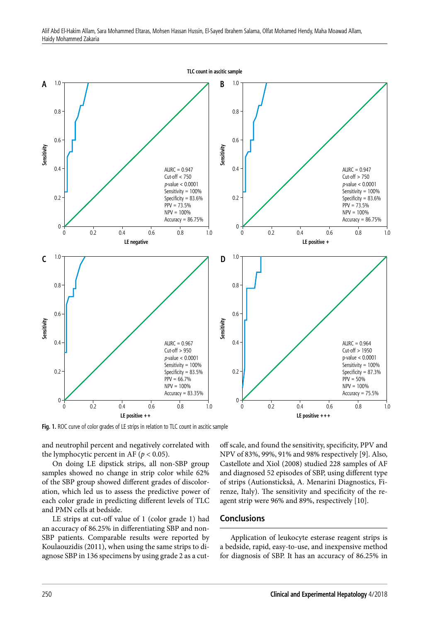

Fig. 1. ROC curve of color grades of LE strips in relation to TLC count in ascitic sample

and neutrophil percent and negatively correlated with the lymphocytic percent in AF ( $p < 0.05$ ).

On doing LE dipstick strips, all non-SBP group samples showed no change in strip color while 62% of the SBP group showed different grades of discoloration, which led us to assess the predictive power of each color grade in predicting different levels of TLC and PMN cells at bedside.

LE strips at cut-off value of 1 (color grade 1) had an accuracy of 86.25% in differentiating SBP and non-SBP patients. Comparable results were reported by Koulaouzidis (2011), when using the same strips to diagnose SBP in 136 specimens by using grade 2 as a cutoff scale, and found the sensitivity, specificity, PPV and NPV of 83%, 99%, 91% and 98% respectively [9]. Also, Castellote and Xiol (2008) studied 228 samples of AF and diagnosed 52 episodes of SBP, using different type of strips (Autionsticksâ, A. Menarini Diagnostics, Firenze, Italy). The sensitivity and specificity of the reagent strip were 96% and 89%, respectively [10].

## **Conclusions**

Application of leukocyte esterase reagent strips is a bedside, rapid, easy-to-use, and inexpensive method for diagnosis of SBP. It has an accuracy of 86.25% in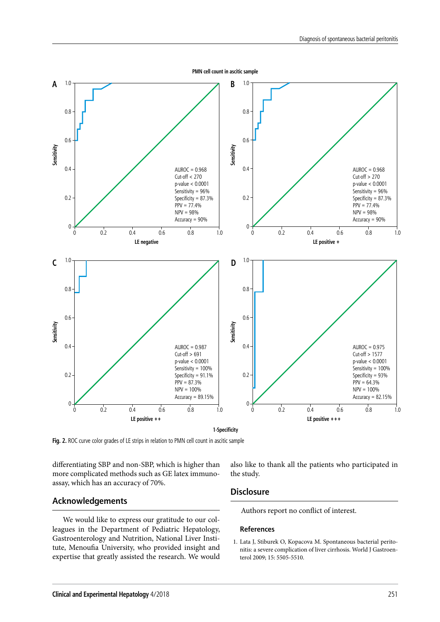

differentiating SBP and non-SBP, which is higher than more complicated methods such as GE latex immunoassay, which has an accuracy of 70%.

#### **Acknowledgements**

We would like to express our gratitude to our colleagues in the Department of Pediatric Hepatology, Gastroenterology and Nutrition, National Liver Institute, Menoufia University, who provided insight and expertise that greatly assisted the research. We would

also like to thank all the patients who participated in the study.

#### **Disclosure**

Authors report no conflict of interest.

#### **References**

1. Lata J, Stiburek O, Kopacova M. Spontaneous bacterial peritonitis: a severe complication of liver cirrhosis. World J Gastroenterol 2009; 15: 5505-5510.